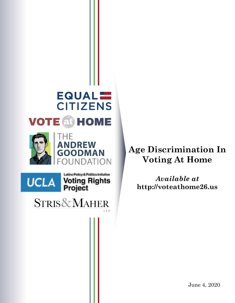



Latino Policy & Politics Initiative **Voting Rights<br>Project** 

**STRIS&MAHER** LLP

# **Age Discrimination In Voting At Home**

*Available at* **http://voteathome26.us**

June 4, 2020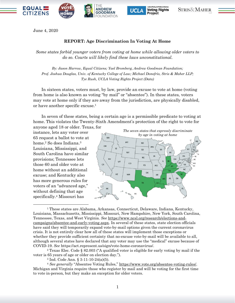



June 4, 2020

## **REPORT: Age Discrimination In Voting At Home**

*Some states forbid younger voters from voting at home while allowing older voters to do so. Courts will likely find these laws unconstitutional.*

*By: Jason Harrow, Equal Citizens; Yael Bromberg, Andrew Goodman Foundation; Prof. Joshua Douglas, Univ. of Kentucky College of Law; Michael Donofrio, Stris & Maher LLP; Tye Rush, UCLA Voting Rights Project (Data)*

In sixteen states, voters must, by law, provide an excuse to vote at home (voting from home is also known as voting "by mail" or "absentee"). In these states, voters may vote at home only if they are away from the jurisdiction, are physically disabled, or have another specific excuse.<sup>1</sup>

In seven of these states, being a certain age is a permissible predicate to voting at home. This violates the Twenty-Sixth Amendment's protection of the right to vote for anyone aged 18 or older. Texas, for

instance, lets any voter over 65 request a ballot to vote at home. <sup>2</sup> So does Indiana.<sup>3</sup> Louisiana, Mississippi, and South Carolina have similar provisions; Tennessee lets those 60 and older vote at home without an additional excuse; and Kentucky also has more generous rules for voters of an "advanced age," without defining that age specifically.<sup>4</sup> Missouri has



<sup>1</sup> These states are Alabama, Arkansas, Connecticut, Delaware, Indiana, Kentucky, Louisiana, Massachusetts, Mississippi, Missouri, New Hampshire, New York, South Carolina, Tennessee, Texas, and West Virginia. *See* [https://www.ncsl.org/research/elections-and](https://www.ncsl.org/research/elections-and-campaigns/absentee-and-early-voting.aspx)[campaigns/absentee-and-early-voting.aspx.](https://www.ncsl.org/research/elections-and-campaigns/absentee-and-early-voting.aspx) In several of these states, state election officials have said they will temporarily expand vote-by-mail options given the current coronavirus crisis. It is not entirely clear how all of these states will implement those exceptions or whether they provide sufficient certainty that no-excuse vote-by-mail will be available to all, although several states have declared that any voter may use the "medical" excuse because of COVID-19. *See* https://act.represent.us/sign/vote-home-coronavirus/.

<sup>2</sup> Texas Elec. Code § 82.003 ("A qualified voter is eligible for early voting by mail if the voter is 65 years of age or older on election day.").

<sup>3</sup> Ind. Code Ann. § 3-11-10-24(a)(5).

<sup>4</sup> *See generally* "Absentee Voting Rules," [https://www.vote.org/absentee-voting-rules/.](https://www.vote.org/absentee-voting-rules/) Michigan and Virginia require those who register by mail and will be voting for the first time to vote in-person, but they make an exception for older voters.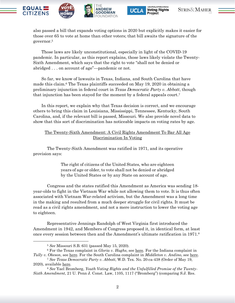







also passed a bill that expands voting options in 2020 but explicitly makes it easier for those over 65 to vote at home than other voters; that bill awaits the signature of the governor.<sup>5</sup>

Those laws are likely unconstitutional, especially in light of the COVID-19 pandemic. In particular, as this report explains, those laws likely violate the Twenty-Sixth Amendment, which says that the right to vote "shall not be denied or abridged . . . on account of age"—pandemic or not.

So far, we know of lawsuits in Texas, Indiana, and South Carolina that have made this claim.<sup>6</sup> The Texas plaintiffs succeeded on May 19, 2020 in obtaining a preliminary injunction in federal court in *Texas Democratic Party v. Abbott*, though that injunction has been stayed for the moment by a federal appeals court. 7

In this report, we explain why that Texas decision is correct, and we encourage others to bring this claim in Louisiana, Mississippi, Tennessee, Kentucky, South Carolina, and, if the relevant bill is passed, Missouri. We also provide novel data to show that this sort of discrimination has noticeable impacts on voting rates by age.

## The Twenty-Sixth Amendment: A Civil Rights Amendment To Bar All Age Discrimination In Voting

The Twenty-Sixth Amendment was ratified in 1971, and its operative provision says:

> The right of citizens of the United States, who are eighteen years of age or older, to vote shall not be denied or abridged by the United States or by any State on account of age.

Congress and the states ratified this Amendment as America was sending 18 year-olds to fight in the Vietnam War while not allowing them to vote. It is thus often associated with Vietnam War-related activism, but the Amendment was a long time in the making and resulted from a much deeper struggle for civil rights. It must be read as a civil rights amendment, and not a mere instruction to lower the voting age to eighteen.

Representative Jennings Randolph of West Virginia first introduced the Amendment in 1942, and Members of Congress proposed it, in identical form, at least once every session between then and the Amendment's ultimate ratification in 1971. 8

<sup>5</sup> *See* Missouri S.B. 631 (passed May 15, 2020).

<sup>6</sup> For the Texas complaint in *Gloria v. Hughs*, see [here.](https://static1.squarespace.com/static/5e909f4422f7a40a188de597/t/5ea991c0774c731ba9972f1c/1588171201803/Gloria.v.Hughs.pdf) For the Indiana complaint in

*Tully v. Okeson*, see [here.](https://electionlawblog.org/wp-content/uploads/Tully-amended-complaint.pdf) For the South Carolina complaint in *Middleton v. Andino*, see [here.](https://www.democracydocket.com/wp-content/uploads/sites/41/2020/05/2020-05-01-SC-Federal-Four-Pillars-Complaint-FINAL.pdf) <sup>7</sup> *See Texas Democratic Party v. Abbott*, W.D. Tex. No. 20-ca-438 (Order of May 19,

<sup>2020),</sup> available [here.](https://electionlawblog.org/wp-content/uploads/injunction.pdf)

<sup>8</sup> *See* Yael Bromberg, *Youth Voting Rights and the Unfulfilled Promise of the Twenty-Sixth Amendment*, 21 U. Penn J. Const. Law, 1105, 1117 ("Bromberg") (comparing S.J. Res.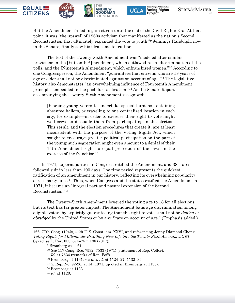





But the Amendment failed to gain steam until the end of the Civil Rights Era. At that point, it was "the upswell of 1960s activism that manifested as the nation's Second Reconstruction that ultimately expanded the vote to youth."<sup>9</sup> Jennings Randolph, now in the Senate, finally saw his idea come to fruition.

The text of the Twenty-Sixth Amendment was "modeled after similar provisions in the [Fifteenth A]mendment, which outlawed racial discrimination at the polls, and the [Nineteenth A]mendment, which enfranchised women."<sup>10</sup> According to one Congressperson, the Amendment "guarantees that citizens who are 18 years of age or older shall not be discriminated against on account of age." <sup>11</sup> The legislative history also demonstrates "an overwhelming influence of Fourteenth Amendment principles embedded in the push for ratification."<sup>12</sup> As the Senate Report accompanying the Twenty-Sixth Amendment recognized:

[F]orcing young voters to undertake special burdens—obtaining absentee ballots, or traveling to one centralized location in each city, for example—in order to exercise their right to vote might well serve to dissuade them from participating in the election. This result, and the election procedures that create it, are at least inconsistent with the purpose of the Voting Rights Act, which sought to encourage greater political participation on the part of the young; such segregation might even amount to a denial of their 14th Amendment right to equal protection of the laws in the exercise of the franchise. 13

In 1971, supermajorities in Congress ratified the Amendment, and 38 states followed suit in less than 100 days. The time period represents the quickest ratification of an amendment in our history, reflecting its overwhelming popularity across party lines. <sup>14</sup> Thus, when Congress and the states ratified the Amendment in 1971, it became an "integral part and natural extension of the Second Reconstruction."<sup>15</sup>

The Twenty-Sixth Amendment lowered the voting age to 18 for all elections, but its text has far greater impact. The Amendment bans age discrimination among eligible voters by explicitly guaranteeing that the right to vote "shall not be *denied or abridged* by the United States or by any State on account of age." (Emphasis added.)

<sup>166,</sup> 77th Cong. (1942), *with* U.S. Const, am. XXVI, and referencing Jenny Diamond Cheng, *Voting Rights for Millennials: Breathing New Life into the Twenty-Sixth Amendment*, 67 Syracuse L. Rev. 653, 674–75 n.186 (2017)).

<sup>9</sup> Bromberg at 1121.

<sup>10</sup> *See* 117 Cong. Rec. 7532, 7533 (1971) (statement of Rep. Celler).

<sup>11</sup> *Id.* at 7534 (remarks of Rep. Poff).

<sup>12</sup> Bromberg at 1161; *see also id.* at 1124–27, 1132–34.

<sup>13</sup> S. Rep. No. 92-26, at 14 (1971) (quoted in Bromberg at 1133).

<sup>14</sup> Bromberg at 1133.

<sup>15</sup> *Id.* at 1120.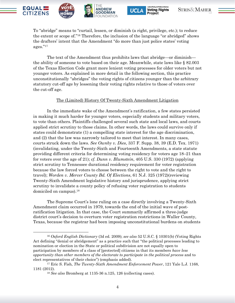







To "abridge" means to "curtail, lessen, or diminish (a right, privilege, etc.); to reduce the extent or scope of."<sup>16</sup> Therefore, the inclusion of the language "or abridged" shows the drafters' intent that the Amendment "do more than just police states' voting ages."<sup>17</sup>

The text of the Amendment thus prohibits laws that abridge—or diminish the ability of someone to vote based on their age. Meanwhile, state laws like § 82.003 of the Texas Election Code grant more lenient voting processes for older voters but not younger voters. As explained in more detail in the following section, this practice unconstitutionally "abridges" the voting rights of citizens younger than the arbitrary statutory cut-off age by lessening their voting rights relative to those of voters over the cut-off age.

#### The (Limited) History Of Twenty-Sixth Amendment Litigation

In the immediate wake of the Amendment's ratification, a few states persisted in making it much harder for younger voters, especially students and military voters, to vote than others. Plaintiffs challenged several such state and local laws, and courts applied strict scrutiny to those claims. In other words, the laws could survive only if states could demonstrate (1) a compelling state interest for the age discrimination, and (2) that the law was narrowly tailored to meet that interest. In many cases, courts struck down the laws. *See Ownby v. Dies*, 337 F. Supp. 38, 39 (E.D. Tex. 1971) (invalidating, under the Twenty-Sixth and Fourteenth Amendments, a state statute providing different criteria for determining voting residency for voters age 18–21 than for voters over the age of 21); *cf. Dunn v. Blumstein*, 405 U.S. 330 (1972) (applying strict scrutiny to Tennessee durational residency requirement for voter registration because the law forced voters to choose between the right to vote and the right to travel); *Worden v. Mercer County Bd. Of Elections*, 61 N.J. 325 (1972)(reviewing Twenty-Sixth Amendment legislative history and jurisprudence, applying strict scrutiny to invalidate a county policy of refusing voter registration to students domiciled on campus).<sup>18</sup>

The Supreme Court's lone ruling on a case directly involving a Twenty-Sixth Amendment claim occurred in 1979, towards the end of the initial wave of postratification litigation. In that case, the Court summarily affirmed a three-judge district court's decision to overturn voter registration restrictions in Waller County, Texas, because the registrar had been imposing unconstitutional burdens on students

<sup>16</sup> *Oxford English Dictionary* (3d ed. 2009); *see also* 52 U.S.C. § 10301(b) (Voting Rights Act defining "denial or abridgement" as a practice such that "the political processes leading to nomination or election in the State or political subdivision are not equally open to participation by members of a class of [protected] citizens in that its members *have less opportunity than other members of the electorate to participate in the political process* and to elect representatives of their choice") (emphasis added).

<sup>17</sup> Eric S. Fish, *The Twenty-Sixth Amendment Enforcement Power*, 121 Yale L.J. 1168, 1181 (2012).

<sup>18</sup> *See also* Bromberg at 1135-36 n.125, 126 (collecting cases).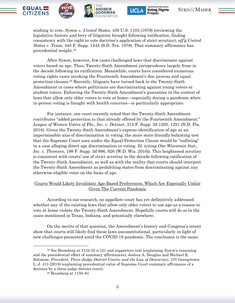







wishing to vote. *Symm v. United States*, 439 U.S. 1105 (1979) (reviewing the legislative history and bevy of litigation brought following ratification, finding consistency with the right to vote doctrine's application of strict scrutiny), *aff'g United States v. Texas*, 445 F. Supp. 1245 (S.D. Tex. 1978). That summary affirmance has precedential weight.<sup>19</sup>

After *Symm*, however, few cases challenged laws that discriminate against voters based on age. Thus, Twenty-Sixth Amendment jurisprudence largely froze in the decade following its ratification. Meanwhile, courts have considered numerous voting rights cases invoking the Fourteenth Amendment's due process and equal protection clauses.<sup>20</sup> Recently, litigants have turned back to the Twenty-Sixth Amendment in cases where politicians are discriminating against young voters or student voters. Enforcing the Twenty-Sixth Amendment's guarantee in the context of laws that allow only older voters to vote at home—especially during a pandemic when in-person voting is fraught with health concerns—is particularly appropriate.

For instance, one court recently noted that the Twenty-Sixth Amendment contributes "added protection to that already offered by the Fourteenth Amendment." *League of Women Voters of Fla., Inc. v. Detzner*, 314 F. Supp. 3d 1205, 1221 (N.D. Fla. 2018). Given the Twenty-Sixth Amendment's express identification of age as an impermissible axis of discrimination in voting, the more state-friendly balancing test that the Supreme Court uses under the Equal Protection Clause would be "unfitting" in a case alleging direct age discrimination in voting. *Id.* (citing *One Wisconsin Inst., Inc. v. Thomsen*, 198 F. Supp. 3d 896, 926 (W.D. Wis. 2016)). This heightened scrutiny is consistent with courts' use of strict scrutiny in the decade following ratification of the Twenty-Sixth Amendment, as well as with the reality that courts should interpret the Twenty-Sixth Amendment as prohibiting states from discriminating against any otherwise-eligible voter on the basis of age.

### Courts Would Likely Invalidate Age-Based Preferences, Which Are Especially Unfair Given The Current Pandemic

According to our research, no appellate court has yet definitively addressed whether any of the existing laws that allow only older voters to use age as a reason to vote at home violate the Twenty-Sixth Amendment. Hopefully courts will do so in the cases mentioned in Texas, Indiana, and potentially elsewhere.

On the merits of that question, the Amendment's history and Congress's intent show that courts will likely find these laws unconstitutional, particularly in light of new challenges presented amid the COVID-19 pandemic. The conclusion is the same

<sup>19</sup> *See* Bromberg at 1134-35 n.121 and supportive text (explaining *Symm*'s reasoning and the precedential effect of summary affirmances); Joshua A. Douglas and Michael E. Solimine, *Precedent, Three-Judge District Courts, and the Law of Democracy*, 107 Georgetown L..J. 413 (2018) (explaining precedential value of Supreme Court summary affirmance of a decision by a three-judge district court).

<sup>20</sup> Bromberg at 1150–61.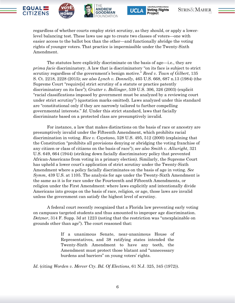







regardless of whether courts employ strict scrutiny, as they should, or apply a lowerlevel balancing test. These laws use age to create two classes of voters—one with easier access to the ballot box than the other—and functionally abridge the voting rights of younger voters. That practice is impermissible under the Twenty-Sixth Amendment.

The statutes here explicitly discriminate on the basis of age—i.e., they are *prima facie* discriminatory. A law that is discriminatory "on its face is subject to strict scrutiny regardless of the government's benign motive." *Reed v. Town of Gilbert*, 135 S. Ct. 2218, 2228 (2015); *see also Lynch v. Donnelly*, 465 U.S. 668, 687 n.13 (1984) (the Supreme Court "require[s] strict scrutiny of a statute or practice patently discriminatory on its face"); *Grutter v. Bollinger*, 539 U.S. 306, 326 (2003) (explicit "racial classifications imposed by government must be analyzed by a reviewing court under strict scrutiny") (quotation marks omitted). Laws analyzed under this standard are "constitutional only if they are narrowly tailored to further compelling governmental interests." *Id.* Under this strict standard, laws that facially discriminate based on a protected class are presumptively invalid.

For instance, a law that makes distinctions on the basis of race or ancestry are presumptively invalid under the Fifteenth Amendment, which prohibits racial discrimination in voting. *Rice v. Cayetano*, 528 U.S. 495, 512 (2000) (explaining that the Constitution "prohibits all provisions denying or abridging the voting franchise of any citizen or class of citizens on the basis of race"); *see also Smith v. Allwright*, 321 U.S. 649, 664 (1944) (striking down facially discriminatory policy that prevented African-Americans from voting in a primary election). Similarly, the Supreme Court has upheld a lower court's application of strict scrutiny under the Twenty-Sixth Amendment where a policy facially discriminates on the basis of age in voting. *See Symm*, 439 U.S. at 1105. The analysis for age under the Twenty-Sixth Amendment is the same as it is for race under the Fourteenth and Fifteenth Amendments, or religion under the First Amendment: where laws explicitly and intentionally divide Americans into groups on the basis of race, religion, or age, those laws are invalid unless the government can satisfy the highest level of scrutiny.

A federal court recently recognized that a Florida law preventing early voting on campuses targeted students and thus amounted to improper age discrimination. *Detzner*, 314 F. Supp. 3d at 1223 (noting that the restriction was "unexplainable on grounds other than age"). The court reasoned that:

> If a unanimous Senate, near-unanimous House of Representatives, and 38 ratifying states intended the Twenty-Sixth Amendment to have any teeth, the Amendment must protect those blatant and "unnecessary burdens and barriers" on young voters' rights.

*Id*. (citing *Worden v. Mercer Cty. Bd. Of Elections*, 61 N.J. 325, 345 (1972)).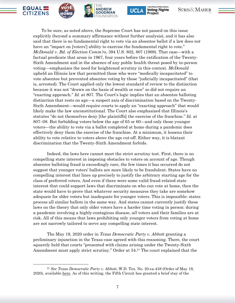







To be sure, as noted above, the Supreme Court has not passed on this issue explicitly (beyond a summary affirmance without further analysis), and it has also said that there is no fundamental right to vote via an absentee ballot if a law does *not* have an "impact on [voters'] ability to exercise the fundamental right to vote." *McDonald v. Bd. of Election Comm'rs*, 394 U.S. 802, 807 (1969). That case—with a factual predicate that arose in 1967, four years before the ratification of the Twenty-Sixth Amendment and in the absence of any public health threat posed by in-person voting—emphasizes the need for heightened scrutiny in this context. *McDonald* upheld an Illinois law that permitted those who were "medically incapacitated" to vote absentee but prevented absentee voting by those "judicially incapacitated" (that is, arrested). The Court applied only the lowest standard of review to the distinction because it was not "drawn on the basis of wealth or race" so did not require an "exacting approach." *Id.* at 807. The Court's logic implies that an absentee balloting distinction that rests on age—a suspect axis of discrimination based on the Twenty-Sixth Amendment—would require courts to apply an "exacting approach" that would likely make the law unconstitutional. The Court also emphasized that Illinois's statutes "do not themselves deny [the plaintiffs] the exercise of the franchise." *Id.* at 807–08. But forbidding voters below the age of 65 or 60—and only those younger voters—the ability to vote via a ballot completed at home during a pandemic does effectively deny them the exercise of the franchise. At a minimum, it lessens their ability to vote relative to voters above the age cut-off. Either way, it is blatant discrimination that the Twenty-Sixth Amendment forbids.

Indeed, the laws here cannot meet the strict scrutiny test. First, there is no compelling state interest in imposing obstacles to voters on account of age. Though absentee balloting fraud is exceedingly rare, the few times it has occurred do not suggest that younger voters' ballots are more likely to be fraudulent. States have no compelling interest that lines up precisely to justify the arbitrary starting age for the class of preferred voters. And even if there were some valid fraud-related state interest that could support laws that discriminate on who can vote at home, then the state would have to prove that whatever security measures they take are somehow adequate for older voters but inadequate for younger voters. This is impossible: states process all similar ballots in the same way. And states cannot currently justify these laws on the theory that only older voters have a harder time voting in person: during a pandemic involving a highly-contagious disease, *all* voters and their families are at risk. All of this means that laws prohibiting only younger voters from voting at home are not narrowly tailored to serve any compelling state interest.

The May 19, 2020 order in *Texas Democratic Party v. Abbott* granting a preliminary injunction in the Texas case agreed with this reasoning. There, the court squarely held that courts "presented with claims arising under the Twenty-Sixth Amendment must apply strict scrutiny." Order at 54.<sup>21</sup> The court explained that the

<sup>21</sup> *See Texas Democratic Party v. Abbott*, W.D. Tex. No. 20-ca-438 (Order of May 19, 2020), available [here.](https://electionlawblog.org/wp-content/uploads/injunction.pdf) As of this writing, the Fifth Circuit has granted a brief stay of the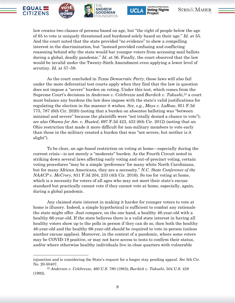







law creates two classes of persons based on age, but "the right of people below the age of 65 to vote is uniquely threatened and burdened solely based on their age." *Id.* at 55. And the court noted that the state provided "no evidence" to show a compelling interest in the discrimination, but "instead provided confusing and conflicting reasoning behind why the state would bar younger voters from accessing mail ballots during a global, deadly pandemic." *Id.* at 56. Finally, the court observed that the law would be invalid under the Twenty-Sixth Amendment even applying a lower level of scrutiny. *Id.* at 57–59.

As the court concluded in *Texas Democratic Party*, these laws will also fail under the more deferential test courts apply when they find that the law in question does not impose a "severe" burden on voting. Under this test, which comes from the Supreme Court's decisions in *Anderson v. Celebrezze* and *Burdick v. Takushi*, <sup>22</sup> a court must balance any burdens the law does impose with the state's valid justifications for regulating the election in the manner it wishes. *See, e.g.*, *Mays v. LaRose*, 951 F.3d 775, 787 (6th Cir. 2020) (noting that a burden on absentee balloting was "between minimal and severe" because the plaintiffs were "not totally denied a chance to vote"); *see also Obama for Am. v. Husted*, 697 F.3d 423, 433 (6th Cir. 2012) (noting that an Ohio restriction that made it more difficult for non-military members to vote early than those in the military created a burden that was "not severe, but neither is it slight").

To be clear, an *age-based* restriction on voting at home—especially during the current crisis—is not merely a "moderate" burden. As the Fourth Circuit noted in striking down several laws affecting early voting and out-of-precinct voting, certain voting procedures "may be a simple 'preference' for many white North Carolinians, but for many African Americans, they are a necessity." *N.C. State Conference of the NAACP v. McCrory*, 831 F.3d 204, 233 (4th Cir. 2016). So too for voting at home, which is a necessity for voters of all ages who may not meet their state's excuse standard but practically cannot vote if they cannot vote at home, especially, again, during a global pandemic.

Any claimed state interest in making it harder for younger voters to vote at home is illusory. Indeed, a simple hypothetical is sufficient to combat any rationale the state might offer. Just compare, on the one hand, a healthy 46-year-old with a healthy 66-year-old. If the state believes there is a valid state interest in having all healthy voters show up to the polls in person if they can do so, then both the healthy 46-year-old and the healthy 66-year-old should be required to vote in-person (unless another excuse applies). Moreover, in the context of a pandemic, where some voters may be COVID-19 positive, or may not have access to tests to confirm their status, and/or where otherwise healthy individuals live in close quarters with vulnerable

injunction and is considering the State's request for a longer stay pending appeal. *See* 5th Cir. No. 20-50407.

<sup>22</sup> *Anderson v. Celebrezze*, 460 U.S. 780 (1983); *Burdick v. Takushi*, 504 U.S. 428 (1992).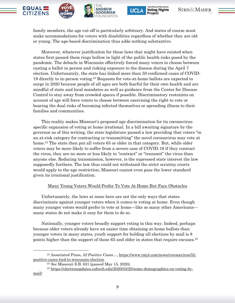







family members, the age cut-off is particularly arbitrary. And states of course must make accommodations for voters with disabilities regardless of whether they are old or young. The age-based discrimination thus adds nothing substantive.

Moreover, whatever justification for these laws that might have existed when states first passed them rings hollow in light of the public health risks posed by the pandemic. The debacle in Wisconsin effectively forced many voters to choose between casting a ballot in person and risking exposure to the disease during the April 7 election. Unfortunately, the state has linked more than 50 confirmed cases of COVID-19 directly to in-person voting.<sup>23</sup> Requests for vote-at-home ballots are expected to surge in 2020 because people of all ages are both fearful for their own health and are mindful of state and local mandates as well as guidance from the Center for Disease Control to stay away from crowded spaces if possible. Discriminatory restraints on account of age will force voters to choose between exercising the right to vote or bearing the dual risks of becoming infected themselves or spreading illness to their families and communities.

This reality makes Missouri's proposed age discrimination for its coronavirusspecific expansion of voting at home irrational. In a bill awaiting signature by the governor as of this writing, the state legislature passed a law providing that voters "in an at-risk category for contracting or transmitting" the novel coronavirus may vote at home.<sup>24</sup> The state then put all voters 65 or older in that category. But, while older voters may be more likely to suffer from a severe case of COVID-19 if they contract the virus, they are no more or less likely to "contract" or "transmit" the virus than anyone else. Reducing transmission, however, is the expressed state interest the law supposedly furthers. The law thus could not withstand the strict scrutiny courts would apply to the age restriction; Missouri cannot even pass the lower standard given its irrational justification.

#### Many Young Voters Would Prefer To Vote At Home But Face Obstacles

Unfortunately, the laws at issue here are not the only ways that states discriminate against younger voters when it comes to voting at home. Even though many younger voters would prefer to vote at home—like so many other Americans many states do not make it easy for them to do so.

Nationally, younger voters broadly support voting in this way. Indeed, perhaps because older voters already have an easier time obtaining at-home ballots than younger voters in many states, youth support for holding all elections by mail is 8 points higher than the support of those 65 and older in states that require excuses.<sup>25</sup>

<sup>23</sup> Associated Press, *52 Positive Cases…*, [https://www.tmj4.com/news/coronavirus/52](https://www.tmj4.com/news/coronavirus/52-positive-cases-tied-to-wisconsin-election) [positive-cases-tied-to-wisconsin-election.](https://www.tmj4.com/news/coronavirus/52-positive-cases-tied-to-wisconsin-election)

<sup>24</sup> *See* Missouri S.B. 631 (passed May 15, 2020).

<sup>25</sup> [https://electionupdates.caltech.edu/2020/03/20/some-demographics-on-voting-by-](https://electionupdates.caltech.edu/2020/03/20/some-demographics-on-voting-by-mail/)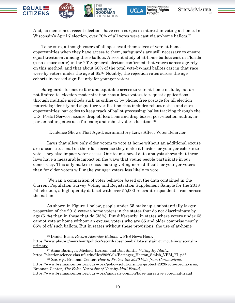







And, as mentioned, recent elections have seen surges in interest in voting at home. In Wisconsin's April 7 election, over 70% of all votes were cast via at-home ballots. 26

To be sure, although voters of all ages avail themselves of vote-at-home opportunities when they have access to them, safeguards are still necessary to ensure equal treatment among these ballots. A recent study of at-home ballots cast in Florida (a no-excuse state) in the 2018 general election confirmed that voters across age rely on this method, and that about 50% of the total vote-by-mail ballots cast in that race were by voters under the age of 65. <sup>27</sup> Notably, the rejection rates across the age cohorts increased significantly for younger voters.

Safeguards to ensure fair and equitable access to vote-at-home include, but are not limited to: election modernization that allows voters to request applications through multiple methods such as online or by phone; free postage for all election materials; identity and signature verification that includes robust notice and cure opportunities; bar codes to keep track of ballot processing; ballot tracking through the U.S. Postal Service; secure drop-off locations and drop boxes; post-election audits; inperson polling sites as a fail-safe; and robust voter education. 28

#### Evidence Shows That Age-Discriminatory Laws Affect Voter Behavior

Laws that allow only older voters to vote at home without an additional excuse are unconstitutional on their face because they make it harder for younger cohorts to vote. They also impact voter access. Our team's novel data analysis shows that these laws have a measurable impact on the ways that young people participate in our democracy. This only makes sense: making voting more difficult for younger voters than for older voters will make younger voters less likely to vote.

We ran a comparison of voter behavior based on the data contained in the Current Population Survey Voting and Registration Supplement Sample for the 2018 fall election, a high-quality dataset with over 55,000 relevant respondents from across the nation.

As shown in Figure 1 below, people under 65 make up a substantially larger proportion of the 2018 vote-at-home voters in the states that do not discriminate by age (61%) than in those that do (35%). Put differently, in states where voters under 65 cannot vote at home without an excuse, voters who are 65 and older comprise nearly 65% of *all* such ballots. But in states without these provisions, the use of at-home

<sup>26</sup> Daniel Bush, *Record Absentee Ballots…*, PBS News Hour, [https://www.pbs.org/newshour/politics/record-absentee-ballots-sustain-turnout-in-wisconsin](https://www.pbs.org/newshour/politics/record-absentee-ballots-sustain-turnout-in-wisconsin-primary)[primary.](https://www.pbs.org/newshour/politics/record-absentee-ballots-sustain-turnout-in-wisconsin-primary)

<sup>27</sup> Anna Baringer, Michael Herron, and Dan Smith, *Voting By Mail…*, https://electionscience.clas.ufl.edu/files/2020/04/Baringer\_Herron\_Smith\_VBM\_FL.pdf.

<sup>28</sup> *See, e.g.*, Brennan Center, *How to Protect the 2020 Vote from Coronavirus*, [https://www.brennancenter.org/our-work/policy-solutions/how-protect-2020-vote-coronavirus;](https://www.brennancenter.org/our-work/policy-solutions/how-protect-2020-vote-coronavirus) Brennan Center, *The False Narrative of Vote-by-Mail Fraud*, <https://www.brennancenter.org/our-work/analysis-opinion/false-narrative-vote-mail-fraud>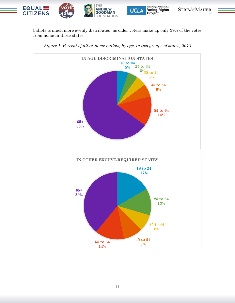

ballots is much more evenly distributed, as older voters make up only 39% of the votes from home in those states.





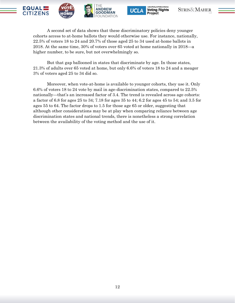







A second set of data shows that these discriminatory policies deny younger cohorts access to at-home ballots they would otherwise use. For instance, nationally, 22.5% of voters 18 to 24 and 20.7% of those aged 25 to 34 used at-home ballots in 2018. At the same time, 30% of voters over 65 voted at home nationally in 2018—a higher number, to be sure, but not overwhelmingly so.

But that gap ballooned in states that discriminate by age. In those states, 21.3% of adults over 65 voted at home, but only 6.6% of voters 18 to 24 and a meager 3% of voters aged 25 to 34 did so.

Moreover, when vote-at-home is available to younger cohorts, they use it. Only 6.6% of voters 18 to 24 vote by mail in age-discrimination states, compared to 22.5% nationally—that's an increased factor of 3.4. The trend is revealed across age cohorts: a factor of 6.8 for ages 25 to 34; 7.18 for ages 35 to 44; 6.2 for ages 45 to 54; and 3.5 for ages 55 to 64. The factor drops to 1.5 for those age 65 or older, suggesting that although other considerations may be at play when comparing reliance between age discrimination states and national trends, there is nonetheless a strong correlation between the availability of the voting method and the use of it.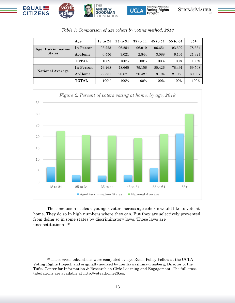

| Table 1: Comparison of age cohort by voting method, 2018 |              |                     |          |              |              |          |        |
|----------------------------------------------------------|--------------|---------------------|----------|--------------|--------------|----------|--------|
|                                                          | Age          | $18 \text{ to } 24$ | 25 to 34 | $35$ to $44$ | $45$ to $54$ | 55 to 64 | $65+$  |
| <b>Age Discrimination</b><br><b>States</b>               | In-Person    | 93.225              | 96.254   | 96.919       | 96.651       | 93.592   | 78.334 |
|                                                          | At-Home      | 6.556               | 3.021    | 2.844        | 3.088        | 6.107    | 21.327 |
|                                                          | <b>TOTAL</b> | 100%                | 100%     | 100%         | 100%         | 100%     | 100%   |
| <b>National Average</b>                                  | In-Person    | 76.468              | 78.665   | 79.156       | 80.426       | 78.491   | 69.508 |
|                                                          | At-Home      | 22.531              | 20.671   | 20.427       | 19.194       | 21.083   | 30.037 |
|                                                          | <b>TOTAL</b> | 100%                | 100%     | 100%         | 100%         | 100%     | 100%   |

**UCLA** 

**Voting Rights** 

Project

STRIS&MAHER



The conclusion is clear: younger voters across age cohorts would like to vote at home. They do so in high numbers where they can. But they are selectively prevented from doing so in some states by discriminatory laws. Those laws are unconstitutional.<sup>29</sup>

<sup>29</sup> These cross tabulations were computed by Tye Rush, Policy Fellow at the UCLA Voting Rights Project, and originally sourced by Kei Kawashima-Ginsberg, Director of the Tufts' Center for Information & Research on Civic Learning and Engagement. The full cross tabulations are available at http://voteathome26.us.